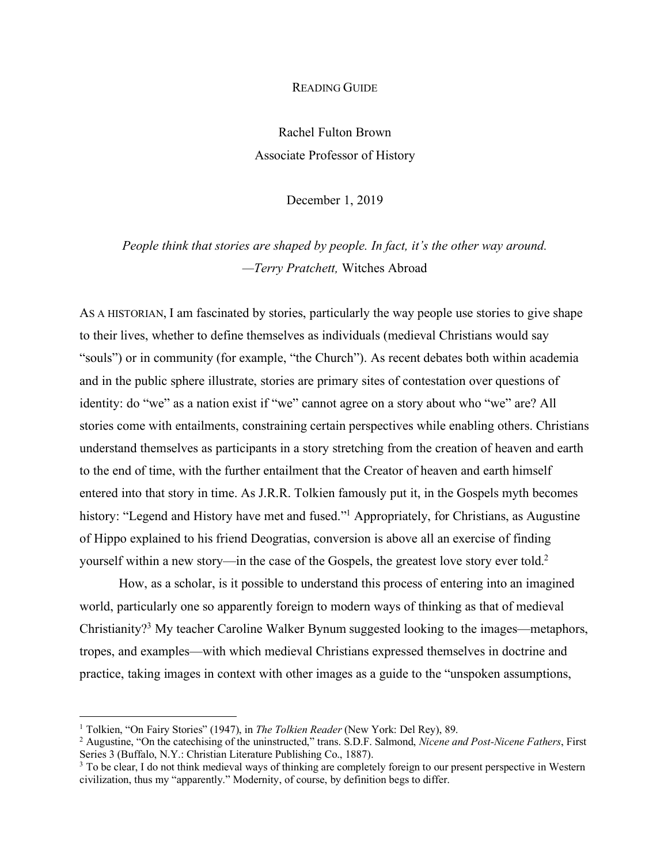## READING GUIDE

Rachel Fulton Brown Associate Professor of History

December 1, 2019

*People think that stories are shaped by people. In fact, it's the other way around. —Terry Pratchett,* Witches Abroad

AS A HISTORIAN, I am fascinated by stories, particularly the way people use stories to give shape to their lives, whether to define themselves as individuals (medieval Christians would say "souls") or in community (for example, "the Church"). As recent debates both within academia and in the public sphere illustrate, stories are primary sites of contestation over questions of identity: do "we" as a nation exist if "we" cannot agree on a story about who "we" are? All stories come with entailments, constraining certain perspectives while enabling others. Christians understand themselves as participants in a story stretching from the creation of heaven and earth to the end of time, with the further entailment that the Creator of heaven and earth himself entered into that story in time. As J.R.R. Tolkien famously put it, in the Gospels myth becomes history: "Legend and History have met and fused."<sup>1</sup> Appropriately, for Christians, as Augustine of Hippo explained to his friend Deogratias, conversion is above all an exercise of finding yourself within a new story—in the case of the Gospels, the greatest love story ever told.2

How, as a scholar, is it possible to understand this process of entering into an imagined world, particularly one so apparently foreign to modern ways of thinking as that of medieval Christianity?3 My teacher Caroline Walker Bynum suggested looking to the images—metaphors, tropes, and examples—with which medieval Christians expressed themselves in doctrine and practice, taking images in context with other images as a guide to the "unspoken assumptions,

 <sup>1</sup> Tolkien, "On Fairy Stories" (1947), in *The Tolkien Reader* (New York: Del Rey), 89.

<sup>2</sup> Augustine, "On the catechising of the uninstructed," trans. S.D.F. Salmond, *Nicene and Post-Nicene Fathers*, First Series 3 (Buffalo, N.Y.: Christian Literature Publishing Co., 1887).

<sup>&</sup>lt;sup>3</sup> To be clear, I do not think medieval ways of thinking are completely foreign to our present perspective in Western civilization, thus my "apparently." Modernity, of course, by definition begs to differ.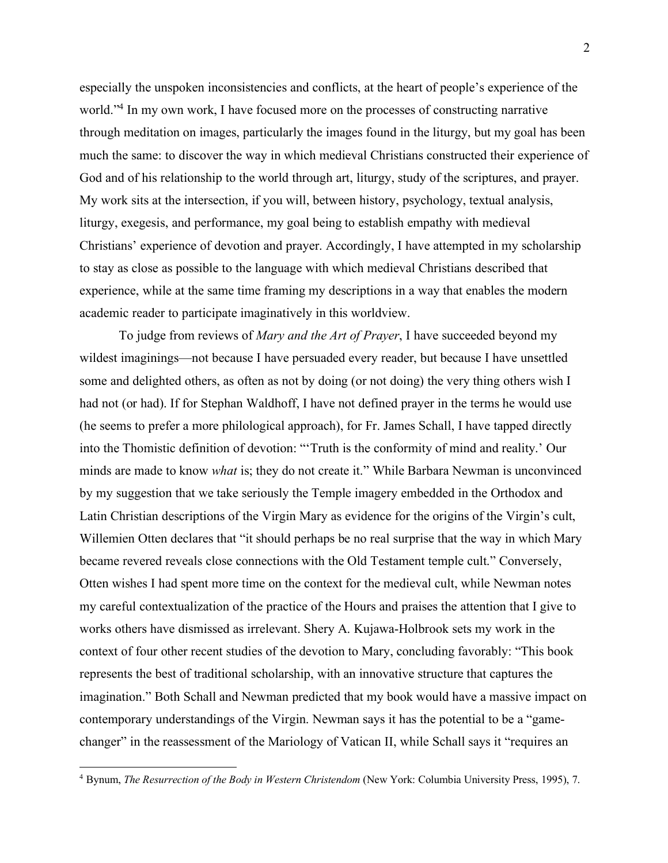especially the unspoken inconsistencies and conflicts, at the heart of people's experience of the world."<sup>4</sup> In my own work, I have focused more on the processes of constructing narrative through meditation on images, particularly the images found in the liturgy, but my goal has been much the same: to discover the way in which medieval Christians constructed their experience of God and of his relationship to the world through art, liturgy, study of the scriptures, and prayer. My work sits at the intersection, if you will, between history, psychology, textual analysis, liturgy, exegesis, and performance, my goal being to establish empathy with medieval Christians' experience of devotion and prayer. Accordingly, I have attempted in my scholarship to stay as close as possible to the language with which medieval Christians described that experience, while at the same time framing my descriptions in a way that enables the modern academic reader to participate imaginatively in this worldview.

To judge from reviews of *Mary and the Art of Prayer*, I have succeeded beyond my wildest imaginings—not because I have persuaded every reader, but because I have unsettled some and delighted others, as often as not by doing (or not doing) the very thing others wish I had not (or had). If for Stephan Waldhoff, I have not defined prayer in the terms he would use (he seems to prefer a more philological approach), for Fr. James Schall, I have tapped directly into the Thomistic definition of devotion: "'Truth is the conformity of mind and reality.' Our minds are made to know *what* is; they do not create it." While Barbara Newman is unconvinced by my suggestion that we take seriously the Temple imagery embedded in the Orthodox and Latin Christian descriptions of the Virgin Mary as evidence for the origins of the Virgin's cult, Willemien Otten declares that "it should perhaps be no real surprise that the way in which Mary became revered reveals close connections with the Old Testament temple cult." Conversely, Otten wishes I had spent more time on the context for the medieval cult, while Newman notes my careful contextualization of the practice of the Hours and praises the attention that I give to works others have dismissed as irrelevant. Shery A. Kujawa-Holbrook sets my work in the context of four other recent studies of the devotion to Mary, concluding favorably: "This book represents the best of traditional scholarship, with an innovative structure that captures the imagination." Both Schall and Newman predicted that my book would have a massive impact on contemporary understandings of the Virgin. Newman says it has the potential to be a "gamechanger" in the reassessment of the Mariology of Vatican II, while Schall says it "requires an

 <sup>4</sup> Bynum, *The Resurrection of the Body in Western Christendom* (New York: Columbia University Press, 1995), 7.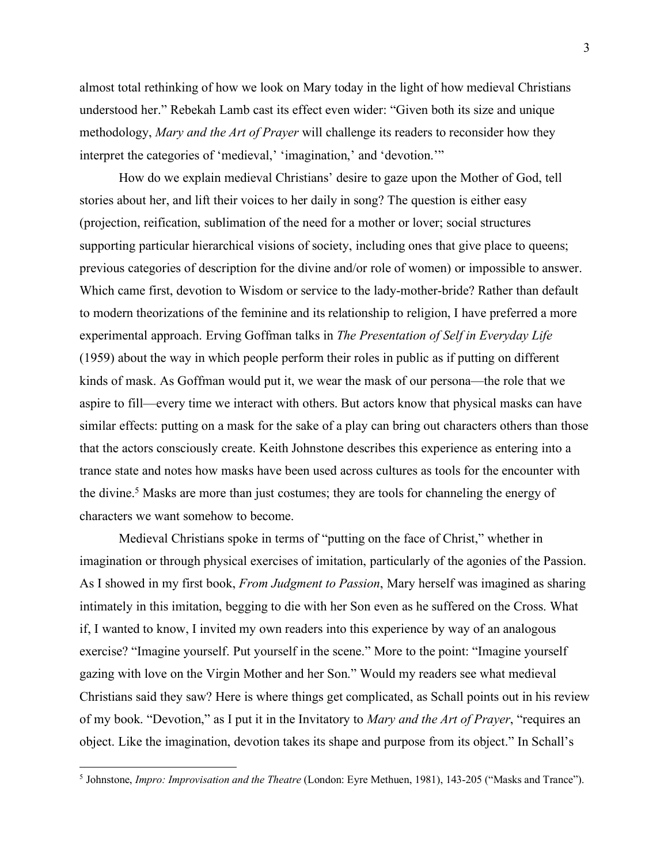almost total rethinking of how we look on Mary today in the light of how medieval Christians understood her." Rebekah Lamb cast its effect even wider: "Given both its size and unique methodology, *Mary and the Art of Prayer* will challenge its readers to reconsider how they interpret the categories of 'medieval,' 'imagination,' and 'devotion.'"

How do we explain medieval Christians' desire to gaze upon the Mother of God, tell stories about her, and lift their voices to her daily in song? The question is either easy (projection, reification, sublimation of the need for a mother or lover; social structures supporting particular hierarchical visions of society, including ones that give place to queens; previous categories of description for the divine and/or role of women) or impossible to answer. Which came first, devotion to Wisdom or service to the lady-mother-bride? Rather than default to modern theorizations of the feminine and its relationship to religion, I have preferred a more experimental approach. Erving Goffman talks in *The Presentation of Self in Everyday Life* (1959) about the way in which people perform their roles in public as if putting on different kinds of mask. As Goffman would put it, we wear the mask of our persona—the role that we aspire to fill—every time we interact with others. But actors know that physical masks can have similar effects: putting on a mask for the sake of a play can bring out characters others than those that the actors consciously create. Keith Johnstone describes this experience as entering into a trance state and notes how masks have been used across cultures as tools for the encounter with the divine.<sup>5</sup> Masks are more than just costumes; they are tools for channeling the energy of characters we want somehow to become.

Medieval Christians spoke in terms of "putting on the face of Christ," whether in imagination or through physical exercises of imitation, particularly of the agonies of the Passion. As I showed in my first book, *From Judgment to Passion*, Mary herself was imagined as sharing intimately in this imitation, begging to die with her Son even as he suffered on the Cross. What if, I wanted to know, I invited my own readers into this experience by way of an analogous exercise? "Imagine yourself. Put yourself in the scene." More to the point: "Imagine yourself gazing with love on the Virgin Mother and her Son." Would my readers see what medieval Christians said they saw? Here is where things get complicated, as Schall points out in his review of my book. "Devotion," as I put it in the Invitatory to *Mary and the Art of Prayer*, "requires an object. Like the imagination, devotion takes its shape and purpose from its object." In Schall's

 <sup>5</sup> Johnstone, *Impro: Improvisation and the Theatre* (London: Eyre Methuen, 1981), 143-205 ("Masks and Trance").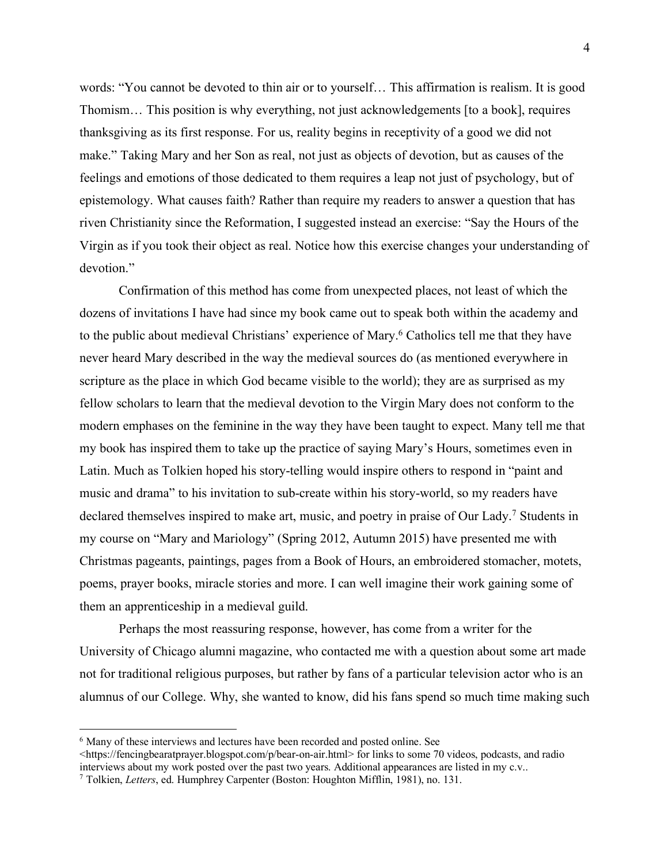words: "You cannot be devoted to thin air or to yourself… This affirmation is realism. It is good Thomism… This position is why everything, not just acknowledgements [to a book], requires thanksgiving as its first response. For us, reality begins in receptivity of a good we did not make." Taking Mary and her Son as real, not just as objects of devotion, but as causes of the feelings and emotions of those dedicated to them requires a leap not just of psychology, but of epistemology. What causes faith? Rather than require my readers to answer a question that has riven Christianity since the Reformation, I suggested instead an exercise: "Say the Hours of the Virgin as if you took their object as real. Notice how this exercise changes your understanding of devotion."

Confirmation of this method has come from unexpected places, not least of which the dozens of invitations I have had since my book came out to speak both within the academy and to the public about medieval Christians' experience of Mary.6 Catholics tell me that they have never heard Mary described in the way the medieval sources do (as mentioned everywhere in scripture as the place in which God became visible to the world); they are as surprised as my fellow scholars to learn that the medieval devotion to the Virgin Mary does not conform to the modern emphases on the feminine in the way they have been taught to expect. Many tell me that my book has inspired them to take up the practice of saying Mary's Hours, sometimes even in Latin. Much as Tolkien hoped his story-telling would inspire others to respond in "paint and music and drama" to his invitation to sub-create within his story-world, so my readers have declared themselves inspired to make art, music, and poetry in praise of Our Lady.7 Students in my course on "Mary and Mariology" (Spring 2012, Autumn 2015) have presented me with Christmas pageants, paintings, pages from a Book of Hours, an embroidered stomacher, motets, poems, prayer books, miracle stories and more. I can well imagine their work gaining some of them an apprenticeship in a medieval guild.

Perhaps the most reassuring response, however, has come from a writer for the University of Chicago alumni magazine, who contacted me with a question about some art made not for traditional religious purposes, but rather by fans of a particular television actor who is an alumnus of our College. Why, she wanted to know, did his fans spend so much time making such

 <sup>6</sup> Many of these interviews and lectures have been recorded and posted online. See

<sup>&</sup>lt;https://fencingbearatprayer.blogspot.com/p/bear-on-air.html> for links to some 70 videos, podcasts, and radio interviews about my work posted over the past two years. Additional appearances are listed in my c.v..

<sup>7</sup> Tolkien, *Letters*, ed. Humphrey Carpenter (Boston: Houghton Mifflin, 1981), no. 131.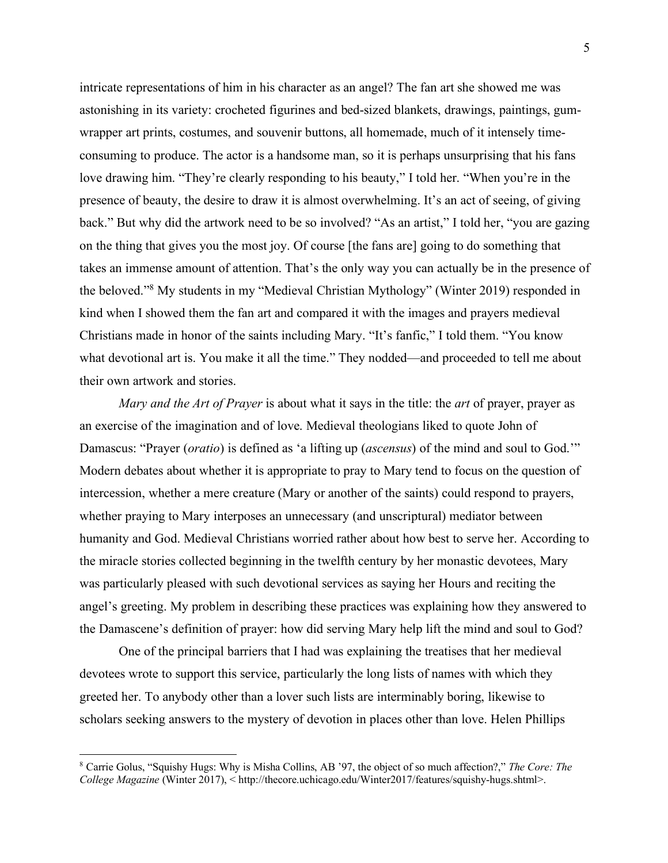intricate representations of him in his character as an angel? The fan art she showed me was astonishing in its variety: crocheted figurines and bed-sized blankets, drawings, paintings, gumwrapper art prints, costumes, and souvenir buttons, all homemade, much of it intensely timeconsuming to produce. The actor is a handsome man, so it is perhaps unsurprising that his fans love drawing him. "They're clearly responding to his beauty," I told her. "When you're in the presence of beauty, the desire to draw it is almost overwhelming. It's an act of seeing, of giving back." But why did the artwork need to be so involved? "As an artist," I told her, "you are gazing on the thing that gives you the most joy. Of course [the fans are] going to do something that takes an immense amount of attention. That's the only way you can actually be in the presence of the beloved."8 My students in my "Medieval Christian Mythology" (Winter 2019) responded in kind when I showed them the fan art and compared it with the images and prayers medieval Christians made in honor of the saints including Mary. "It's fanfic," I told them. "You know what devotional art is. You make it all the time." They nodded—and proceeded to tell me about their own artwork and stories.

*Mary and the Art of Prayer* is about what it says in the title: the *art* of prayer, prayer as an exercise of the imagination and of love. Medieval theologians liked to quote John of Damascus: "Prayer (*oratio*) is defined as 'a lifting up (*ascensus*) of the mind and soul to God.'" Modern debates about whether it is appropriate to pray to Mary tend to focus on the question of intercession, whether a mere creature (Mary or another of the saints) could respond to prayers, whether praying to Mary interposes an unnecessary (and unscriptural) mediator between humanity and God. Medieval Christians worried rather about how best to serve her. According to the miracle stories collected beginning in the twelfth century by her monastic devotees, Mary was particularly pleased with such devotional services as saying her Hours and reciting the angel's greeting. My problem in describing these practices was explaining how they answered to the Damascene's definition of prayer: how did serving Mary help lift the mind and soul to God?

One of the principal barriers that I had was explaining the treatises that her medieval devotees wrote to support this service, particularly the long lists of names with which they greeted her. To anybody other than a lover such lists are interminably boring, likewise to scholars seeking answers to the mystery of devotion in places other than love. Helen Phillips

 <sup>8</sup> Carrie Golus, "Squishy Hugs: Why is Misha Collins, AB '97, the object of so much affection?," *The Core: The College Magazine* (Winter 2017), < http://thecore.uchicago.edu/Winter2017/features/squishy-hugs.shtml>.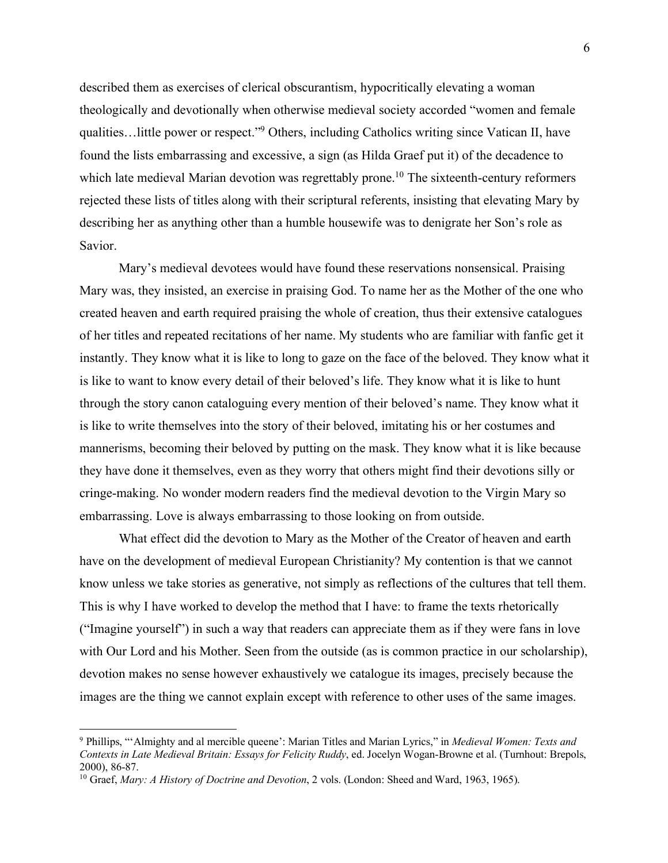described them as exercises of clerical obscurantism, hypocritically elevating a woman theologically and devotionally when otherwise medieval society accorded "women and female qualities…little power or respect."9 Others, including Catholics writing since Vatican II, have found the lists embarrassing and excessive, a sign (as Hilda Graef put it) of the decadence to which late medieval Marian devotion was regrettably prone.<sup>10</sup> The sixteenth-century reformers rejected these lists of titles along with their scriptural referents, insisting that elevating Mary by describing her as anything other than a humble housewife was to denigrate her Son's role as Savior.

Mary's medieval devotees would have found these reservations nonsensical. Praising Mary was, they insisted, an exercise in praising God. To name her as the Mother of the one who created heaven and earth required praising the whole of creation, thus their extensive catalogues of her titles and repeated recitations of her name. My students who are familiar with fanfic get it instantly. They know what it is like to long to gaze on the face of the beloved. They know what it is like to want to know every detail of their beloved's life. They know what it is like to hunt through the story canon cataloguing every mention of their beloved's name. They know what it is like to write themselves into the story of their beloved, imitating his or her costumes and mannerisms, becoming their beloved by putting on the mask. They know what it is like because they have done it themselves, even as they worry that others might find their devotions silly or cringe-making. No wonder modern readers find the medieval devotion to the Virgin Mary so embarrassing. Love is always embarrassing to those looking on from outside.

What effect did the devotion to Mary as the Mother of the Creator of heaven and earth have on the development of medieval European Christianity? My contention is that we cannot know unless we take stories as generative, not simply as reflections of the cultures that tell them. This is why I have worked to develop the method that I have: to frame the texts rhetorically ("Imagine yourself") in such a way that readers can appreciate them as if they were fans in love with Our Lord and his Mother. Seen from the outside (as is common practice in our scholarship), devotion makes no sense however exhaustively we catalogue its images, precisely because the images are the thing we cannot explain except with reference to other uses of the same images.

 <sup>9</sup> Phillips, "'Almighty and al mercible queene': Marian Titles and Marian Lyrics," in *Medieval Women: Texts and Contexts in Late Medieval Britain: Essays for Felicity Ruddy*, ed. Jocelyn Wogan-Browne et al. (Turnhout: Brepols, 2000), 86-87.

<sup>10</sup> Graef, *Mary: A History of Doctrine and Devotion*, 2 vols. (London: Sheed and Ward, 1963, 1965).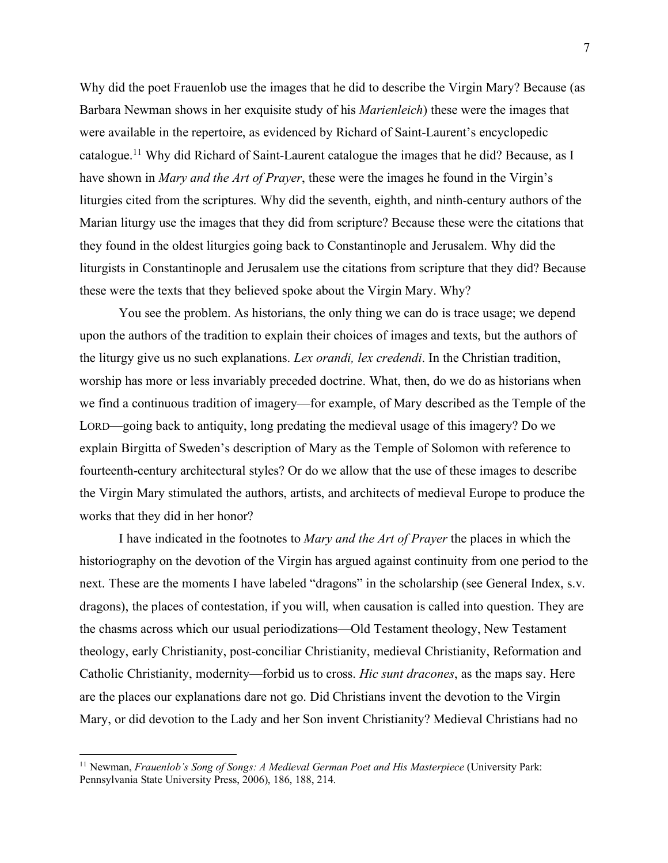Why did the poet Frauenlob use the images that he did to describe the Virgin Mary? Because (as Barbara Newman shows in her exquisite study of his *Marienleich*) these were the images that were available in the repertoire, as evidenced by Richard of Saint-Laurent's encyclopedic catalogue.11 Why did Richard of Saint-Laurent catalogue the images that he did? Because, as I have shown in *Mary and the Art of Prayer*, these were the images he found in the Virgin's liturgies cited from the scriptures. Why did the seventh, eighth, and ninth-century authors of the Marian liturgy use the images that they did from scripture? Because these were the citations that they found in the oldest liturgies going back to Constantinople and Jerusalem. Why did the liturgists in Constantinople and Jerusalem use the citations from scripture that they did? Because these were the texts that they believed spoke about the Virgin Mary. Why?

You see the problem. As historians, the only thing we can do is trace usage; we depend upon the authors of the tradition to explain their choices of images and texts, but the authors of the liturgy give us no such explanations. *Lex orandi, lex credendi*. In the Christian tradition, worship has more or less invariably preceded doctrine. What, then, do we do as historians when we find a continuous tradition of imagery—for example, of Mary described as the Temple of the LORD—going back to antiquity, long predating the medieval usage of this imagery? Do we explain Birgitta of Sweden's description of Mary as the Temple of Solomon with reference to fourteenth-century architectural styles? Or do we allow that the use of these images to describe the Virgin Mary stimulated the authors, artists, and architects of medieval Europe to produce the works that they did in her honor?

I have indicated in the footnotes to *Mary and the Art of Prayer* the places in which the historiography on the devotion of the Virgin has argued against continuity from one period to the next. These are the moments I have labeled "dragons" in the scholarship (see General Index, s.v. dragons), the places of contestation, if you will, when causation is called into question. They are the chasms across which our usual periodizations—Old Testament theology, New Testament theology, early Christianity, post-conciliar Christianity, medieval Christianity, Reformation and Catholic Christianity, modernity—forbid us to cross. *Hic sunt dracones*, as the maps say. Here are the places our explanations dare not go. Did Christians invent the devotion to the Virgin Mary, or did devotion to the Lady and her Son invent Christianity? Medieval Christians had no

 <sup>11</sup> Newman, *Frauenlob's Song of Songs: A Medieval German Poet and His Masterpiece* (University Park: Pennsylvania State University Press, 2006), 186, 188, 214.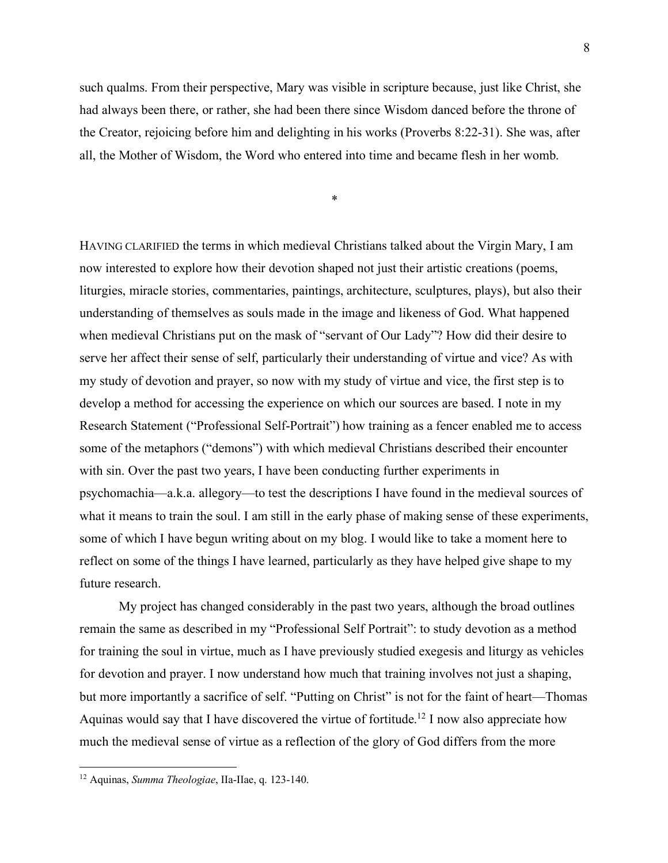such qualms. From their perspective, Mary was visible in scripture because, just like Christ, she had always been there, or rather, she had been there since Wisdom danced before the throne of the Creator, rejoicing before him and delighting in his works (Proverbs 8:22-31). She was, after all, the Mother of Wisdom, the Word who entered into time and became flesh in her womb.

\*

HAVING CLARIFIED the terms in which medieval Christians talked about the Virgin Mary, I am now interested to explore how their devotion shaped not just their artistic creations (poems, liturgies, miracle stories, commentaries, paintings, architecture, sculptures, plays), but also their understanding of themselves as souls made in the image and likeness of God. What happened when medieval Christians put on the mask of "servant of Our Lady"? How did their desire to serve her affect their sense of self, particularly their understanding of virtue and vice? As with my study of devotion and prayer, so now with my study of virtue and vice, the first step is to develop a method for accessing the experience on which our sources are based. I note in my Research Statement ("Professional Self-Portrait") how training as a fencer enabled me to access some of the metaphors ("demons") with which medieval Christians described their encounter with sin. Over the past two years, I have been conducting further experiments in psychomachia—a.k.a. allegory—to test the descriptions I have found in the medieval sources of what it means to train the soul. I am still in the early phase of making sense of these experiments, some of which I have begun writing about on my blog. I would like to take a moment here to reflect on some of the things I have learned, particularly as they have helped give shape to my future research.

My project has changed considerably in the past two years, although the broad outlines remain the same as described in my "Professional Self Portrait": to study devotion as a method for training the soul in virtue, much as I have previously studied exegesis and liturgy as vehicles for devotion and prayer. I now understand how much that training involves not just a shaping, but more importantly a sacrifice of self. "Putting on Christ" is not for the faint of heart—Thomas Aquinas would say that I have discovered the virtue of fortitude.12 I now also appreciate how much the medieval sense of virtue as a reflection of the glory of God differs from the more

 <sup>12</sup> Aquinas, *Summa Theologiae*, IIa-IIae, q. 123-140.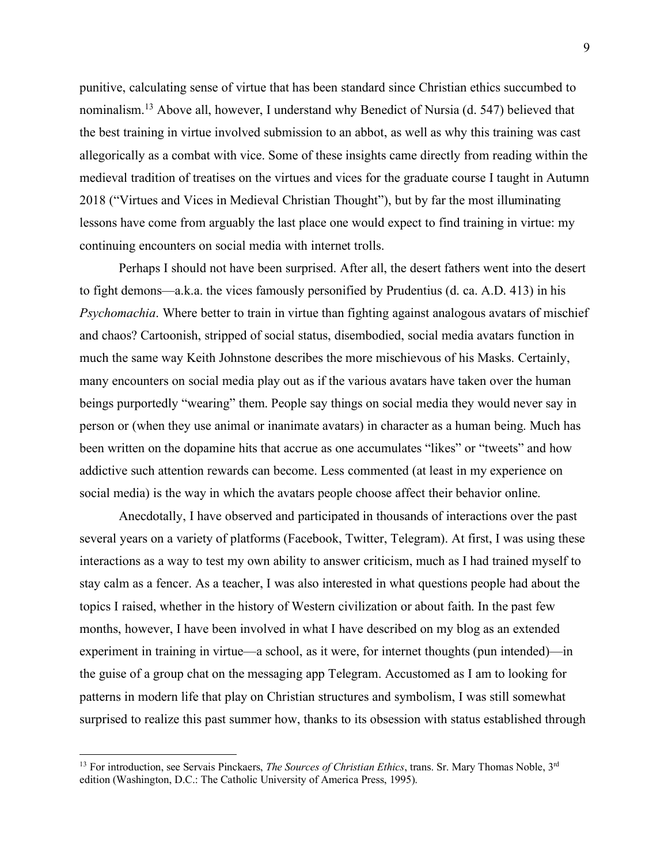punitive, calculating sense of virtue that has been standard since Christian ethics succumbed to nominalism.13 Above all, however, I understand why Benedict of Nursia (d. 547) believed that the best training in virtue involved submission to an abbot, as well as why this training was cast allegorically as a combat with vice. Some of these insights came directly from reading within the medieval tradition of treatises on the virtues and vices for the graduate course I taught in Autumn 2018 ("Virtues and Vices in Medieval Christian Thought"), but by far the most illuminating lessons have come from arguably the last place one would expect to find training in virtue: my continuing encounters on social media with internet trolls.

Perhaps I should not have been surprised. After all, the desert fathers went into the desert to fight demons—a.k.a. the vices famously personified by Prudentius (d. ca. A.D. 413) in his *Psychomachia*. Where better to train in virtue than fighting against analogous avatars of mischief and chaos? Cartoonish, stripped of social status, disembodied, social media avatars function in much the same way Keith Johnstone describes the more mischievous of his Masks. Certainly, many encounters on social media play out as if the various avatars have taken over the human beings purportedly "wearing" them. People say things on social media they would never say in person or (when they use animal or inanimate avatars) in character as a human being. Much has been written on the dopamine hits that accrue as one accumulates "likes" or "tweets" and how addictive such attention rewards can become. Less commented (at least in my experience on social media) is the way in which the avatars people choose affect their behavior online.

Anecdotally, I have observed and participated in thousands of interactions over the past several years on a variety of platforms (Facebook, Twitter, Telegram). At first, I was using these interactions as a way to test my own ability to answer criticism, much as I had trained myself to stay calm as a fencer. As a teacher, I was also interested in what questions people had about the topics I raised, whether in the history of Western civilization or about faith. In the past few months, however, I have been involved in what I have described on my blog as an extended experiment in training in virtue—a school, as it were, for internet thoughts (pun intended)—in the guise of a group chat on the messaging app Telegram. Accustomed as I am to looking for patterns in modern life that play on Christian structures and symbolism, I was still somewhat surprised to realize this past summer how, thanks to its obsession with status established through

<sup>&</sup>lt;sup>13</sup> For introduction, see Servais Pinckaers, *The Sources of Christian Ethics*, trans. Sr. Mary Thomas Noble, 3<sup>rd</sup> edition (Washington, D.C.: The Catholic University of America Press, 1995).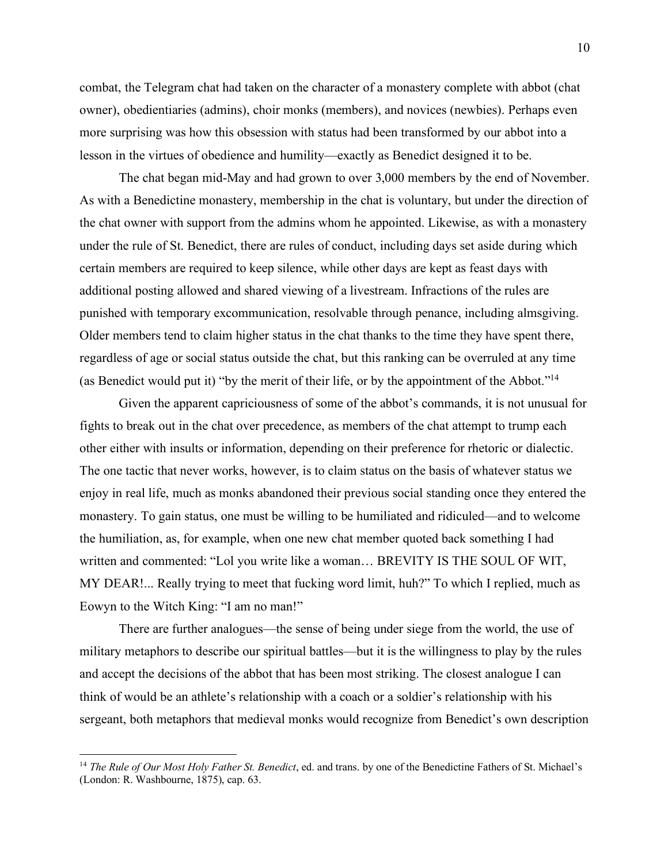combat, the Telegram chat had taken on the character of a monastery complete with abbot (chat owner), obedientiaries (admins), choir monks (members), and novices (newbies). Perhaps even more surprising was how this obsession with status had been transformed by our abbot into a lesson in the virtues of obedience and humility—exactly as Benedict designed it to be.

The chat began mid-May and had grown to over 3,000 members by the end of November. As with a Benedictine monastery, membership in the chat is voluntary, but under the direction of the chat owner with support from the admins whom he appointed. Likewise, as with a monastery under the rule of St. Benedict, there are rules of conduct, including days set aside during which certain members are required to keep silence, while other days are kept as feast days with additional posting allowed and shared viewing of a livestream. Infractions of the rules are punished with temporary excommunication, resolvable through penance, including almsgiving. Older members tend to claim higher status in the chat thanks to the time they have spent there, regardless of age or social status outside the chat, but this ranking can be overruled at any time (as Benedict would put it) "by the merit of their life, or by the appointment of the Abbot."14

Given the apparent capriciousness of some of the abbot's commands, it is not unusual for fights to break out in the chat over precedence, as members of the chat attempt to trump each other either with insults or information, depending on their preference for rhetoric or dialectic. The one tactic that never works, however, is to claim status on the basis of whatever status we enjoy in real life, much as monks abandoned their previous social standing once they entered the monastery. To gain status, one must be willing to be humiliated and ridiculed—and to welcome the humiliation, as, for example, when one new chat member quoted back something I had written and commented: "Lol you write like a woman… BREVITY IS THE SOUL OF WIT, MY DEAR!... Really trying to meet that fucking word limit, huh?" To which I replied, much as Eowyn to the Witch King: "I am no man!"

There are further analogues—the sense of being under siege from the world, the use of military metaphors to describe our spiritual battles—but it is the willingness to play by the rules and accept the decisions of the abbot that has been most striking. The closest analogue I can think of would be an athlete's relationship with a coach or a soldier's relationship with his sergeant, both metaphors that medieval monks would recognize from Benedict's own description

 <sup>14</sup> *The Rule of Our Most Holy Father St. Benedict*, ed. and trans. by one of the Benedictine Fathers of St. Michael's (London: R. Washbourne, 1875), cap. 63.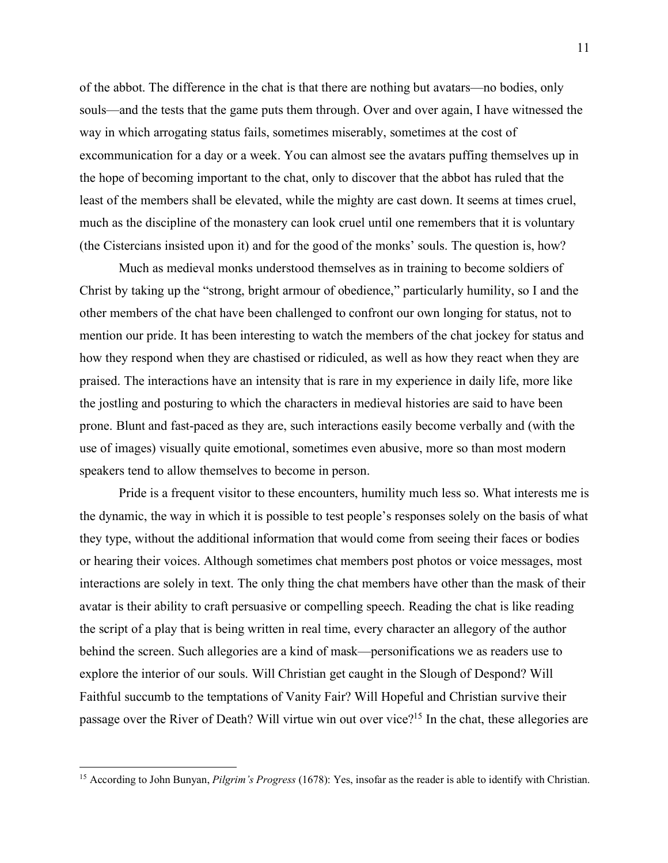of the abbot. The difference in the chat is that there are nothing but avatars—no bodies, only souls—and the tests that the game puts them through. Over and over again, I have witnessed the way in which arrogating status fails, sometimes miserably, sometimes at the cost of excommunication for a day or a week. You can almost see the avatars puffing themselves up in the hope of becoming important to the chat, only to discover that the abbot has ruled that the least of the members shall be elevated, while the mighty are cast down. It seems at times cruel, much as the discipline of the monastery can look cruel until one remembers that it is voluntary (the Cistercians insisted upon it) and for the good of the monks' souls. The question is, how?

Much as medieval monks understood themselves as in training to become soldiers of Christ by taking up the "strong, bright armour of obedience," particularly humility, so I and the other members of the chat have been challenged to confront our own longing for status, not to mention our pride. It has been interesting to watch the members of the chat jockey for status and how they respond when they are chastised or ridiculed, as well as how they react when they are praised. The interactions have an intensity that is rare in my experience in daily life, more like the jostling and posturing to which the characters in medieval histories are said to have been prone. Blunt and fast-paced as they are, such interactions easily become verbally and (with the use of images) visually quite emotional, sometimes even abusive, more so than most modern speakers tend to allow themselves to become in person.

Pride is a frequent visitor to these encounters, humility much less so. What interests me is the dynamic, the way in which it is possible to test people's responses solely on the basis of what they type, without the additional information that would come from seeing their faces or bodies or hearing their voices. Although sometimes chat members post photos or voice messages, most interactions are solely in text. The only thing the chat members have other than the mask of their avatar is their ability to craft persuasive or compelling speech. Reading the chat is like reading the script of a play that is being written in real time, every character an allegory of the author behind the screen. Such allegories are a kind of mask—personifications we as readers use to explore the interior of our souls. Will Christian get caught in the Slough of Despond? Will Faithful succumb to the temptations of Vanity Fair? Will Hopeful and Christian survive their passage over the River of Death? Will virtue win out over vice?<sup>15</sup> In the chat, these allegories are

 <sup>15</sup> According to John Bunyan, *Pilgrim's Progress* (1678): Yes, insofar as the reader is able to identify with Christian.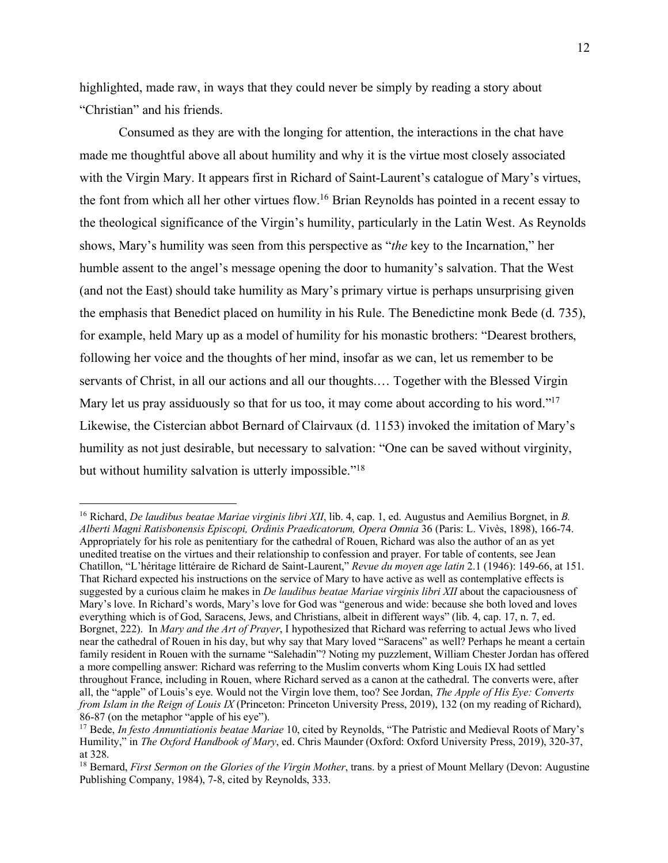highlighted, made raw, in ways that they could never be simply by reading a story about "Christian" and his friends.

Consumed as they are with the longing for attention, the interactions in the chat have made me thoughtful above all about humility and why it is the virtue most closely associated with the Virgin Mary. It appears first in Richard of Saint-Laurent's catalogue of Mary's virtues, the font from which all her other virtues flow. <sup>16</sup> Brian Reynolds has pointed in a recent essay to the theological significance of the Virgin's humility, particularly in the Latin West. As Reynolds shows, Mary's humility was seen from this perspective as "*the* key to the Incarnation," her humble assent to the angel's message opening the door to humanity's salvation. That the West (and not the East) should take humility as Mary's primary virtue is perhaps unsurprising given the emphasis that Benedict placed on humility in his Rule. The Benedictine monk Bede (d. 735), for example, held Mary up as a model of humility for his monastic brothers: "Dearest brothers, following her voice and the thoughts of her mind, insofar as we can, let us remember to be servants of Christ, in all our actions and all our thoughts.… Together with the Blessed Virgin Mary let us pray assiduously so that for us too, it may come about according to his word."<sup>17</sup> Likewise, the Cistercian abbot Bernard of Clairvaux (d. 1153) invoked the imitation of Mary's humility as not just desirable, but necessary to salvation: "One can be saved without virginity, but without humility salvation is utterly impossible."<sup>18</sup>

 <sup>16</sup> Richard, *De laudibus beatae Mariae virginis libri XII*, lib. 4, cap. 1, ed. Augustus and Aemilius Borgnet, in *B. Alberti Magni Ratisbonensis Episcopi, Ordinis Praedicatorum, Opera Omnia* 36 (Paris: L. Vivès, 1898), 166-74. Appropriately for his role as penitentiary for the cathedral of Rouen, Richard was also the author of an as yet unedited treatise on the virtues and their relationship to confession and prayer. For table of contents, see Jean Chatillon, "L'héritage littéraire de Richard de Saint-Laurent," *Revue du moyen age latin* 2.1 (1946): 149-66, at 151. That Richard expected his instructions on the service of Mary to have active as well as contemplative effects is suggested by a curious claim he makes in *De laudibus beatae Mariae virginis libri XII* about the capaciousness of Mary's love. In Richard's words, Mary's love for God was "generous and wide: because she both loved and loves everything which is of God, Saracens, Jews, and Christians, albeit in different ways" (lib. 4, cap. 17, n. 7, ed. Borgnet, 222). In *Mary and the Art of Prayer*, I hypothesized that Richard was referring to actual Jews who lived near the cathedral of Rouen in his day, but why say that Mary loved "Saracens" as well? Perhaps he meant a certain family resident in Rouen with the surname "Salehadin"? Noting my puzzlement, William Chester Jordan has offered a more compelling answer: Richard was referring to the Muslim converts whom King Louis IX had settled throughout France, including in Rouen, where Richard served as a canon at the cathedral. The converts were, after all, the "apple" of Louis's eye. Would not the Virgin love them, too? See Jordan, *The Apple of His Eye: Converts from Islam in the Reign of Louis IX* (Princeton: Princeton University Press, 2019), 132 (on my reading of Richard), 86-87 (on the metaphor "apple of his eye").

<sup>17</sup> Bede, *In festo Annuntiationis beatae Mariae* 10, cited by Reynolds, "The Patristic and Medieval Roots of Mary's Humility," in *The Oxford Handbook of Mary*, ed. Chris Maunder (Oxford: Oxford University Press, 2019), 320-37, at 328.

<sup>18</sup> Bernard, *First Sermon on the Glories of the Virgin Mother*, trans. by a priest of Mount Mellary (Devon: Augustine Publishing Company, 1984), 7-8, cited by Reynolds, 333.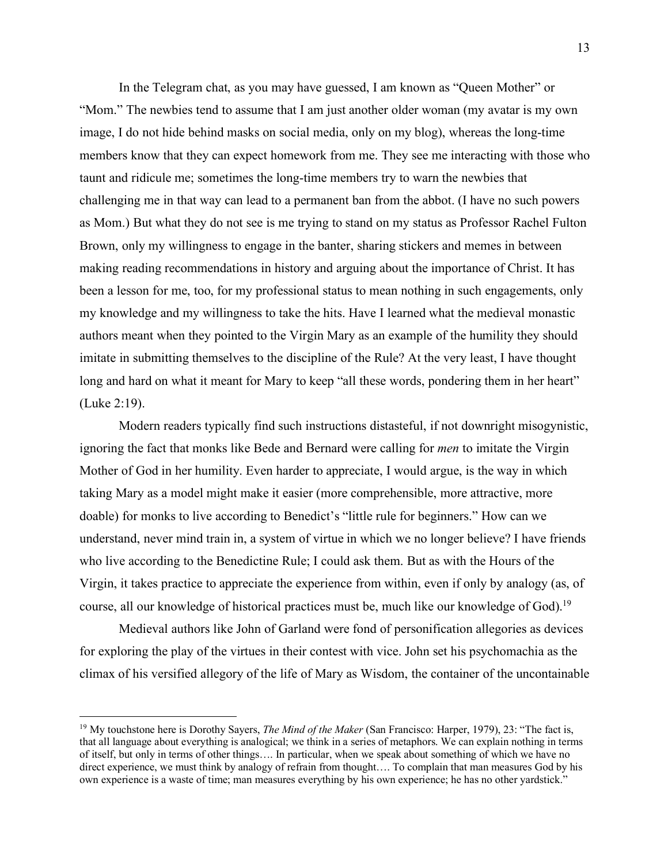In the Telegram chat, as you may have guessed, I am known as "Queen Mother" or "Mom." The newbies tend to assume that I am just another older woman (my avatar is my own image, I do not hide behind masks on social media, only on my blog), whereas the long-time members know that they can expect homework from me. They see me interacting with those who taunt and ridicule me; sometimes the long-time members try to warn the newbies that challenging me in that way can lead to a permanent ban from the abbot. (I have no such powers as Mom.) But what they do not see is me trying to stand on my status as Professor Rachel Fulton Brown, only my willingness to engage in the banter, sharing stickers and memes in between making reading recommendations in history and arguing about the importance of Christ. It has been a lesson for me, too, for my professional status to mean nothing in such engagements, only my knowledge and my willingness to take the hits. Have I learned what the medieval monastic authors meant when they pointed to the Virgin Mary as an example of the humility they should imitate in submitting themselves to the discipline of the Rule? At the very least, I have thought long and hard on what it meant for Mary to keep "all these words, pondering them in her heart" (Luke 2:19).

Modern readers typically find such instructions distasteful, if not downright misogynistic, ignoring the fact that monks like Bede and Bernard were calling for *men* to imitate the Virgin Mother of God in her humility. Even harder to appreciate, I would argue, is the way in which taking Mary as a model might make it easier (more comprehensible, more attractive, more doable) for monks to live according to Benedict's "little rule for beginners." How can we understand, never mind train in, a system of virtue in which we no longer believe? I have friends who live according to the Benedictine Rule; I could ask them. But as with the Hours of the Virgin, it takes practice to appreciate the experience from within, even if only by analogy (as, of course, all our knowledge of historical practices must be, much like our knowledge of God).<sup>19</sup>

Medieval authors like John of Garland were fond of personification allegories as devices for exploring the play of the virtues in their contest with vice. John set his psychomachia as the climax of his versified allegory of the life of Mary as Wisdom, the container of the uncontainable

 <sup>19</sup> My touchstone here is Dorothy Sayers, *The Mind of the Maker* (San Francisco: Harper, 1979), 23: "The fact is, that all language about everything is analogical; we think in a series of metaphors. We can explain nothing in terms of itself, but only in terms of other things…. In particular, when we speak about something of which we have no direct experience, we must think by analogy of refrain from thought…. To complain that man measures God by his own experience is a waste of time; man measures everything by his own experience; he has no other yardstick."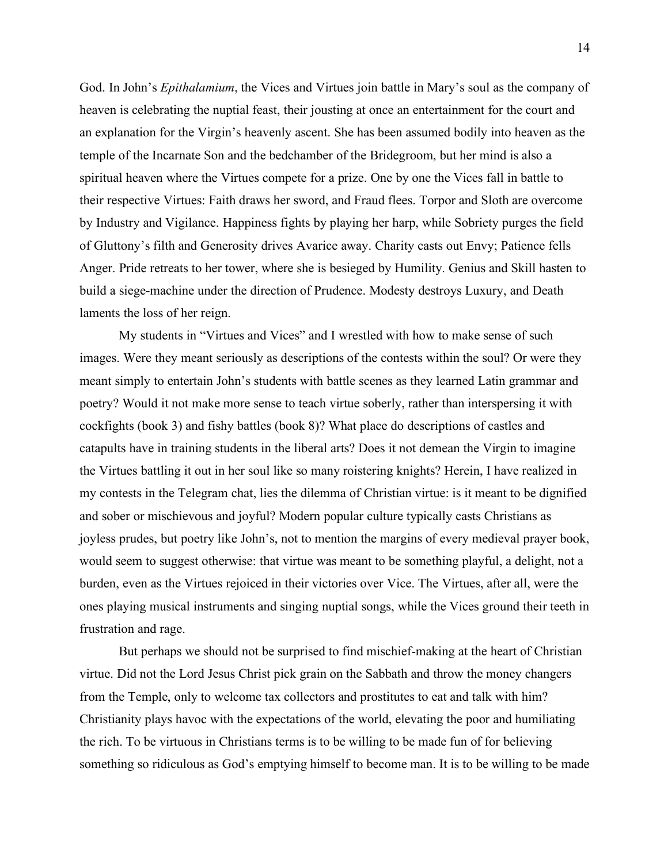God. In John's *Epithalamium*, the Vices and Virtues join battle in Mary's soul as the company of heaven is celebrating the nuptial feast, their jousting at once an entertainment for the court and an explanation for the Virgin's heavenly ascent. She has been assumed bodily into heaven as the temple of the Incarnate Son and the bedchamber of the Bridegroom, but her mind is also a spiritual heaven where the Virtues compete for a prize. One by one the Vices fall in battle to their respective Virtues: Faith draws her sword, and Fraud flees. Torpor and Sloth are overcome by Industry and Vigilance. Happiness fights by playing her harp, while Sobriety purges the field of Gluttony's filth and Generosity drives Avarice away. Charity casts out Envy; Patience fells Anger. Pride retreats to her tower, where she is besieged by Humility. Genius and Skill hasten to build a siege-machine under the direction of Prudence. Modesty destroys Luxury, and Death laments the loss of her reign.

My students in "Virtues and Vices" and I wrestled with how to make sense of such images. Were they meant seriously as descriptions of the contests within the soul? Or were they meant simply to entertain John's students with battle scenes as they learned Latin grammar and poetry? Would it not make more sense to teach virtue soberly, rather than interspersing it with cockfights (book 3) and fishy battles (book 8)? What place do descriptions of castles and catapults have in training students in the liberal arts? Does it not demean the Virgin to imagine the Virtues battling it out in her soul like so many roistering knights? Herein, I have realized in my contests in the Telegram chat, lies the dilemma of Christian virtue: is it meant to be dignified and sober or mischievous and joyful? Modern popular culture typically casts Christians as joyless prudes, but poetry like John's, not to mention the margins of every medieval prayer book, would seem to suggest otherwise: that virtue was meant to be something playful, a delight, not a burden, even as the Virtues rejoiced in their victories over Vice. The Virtues, after all, were the ones playing musical instruments and singing nuptial songs, while the Vices ground their teeth in frustration and rage.

But perhaps we should not be surprised to find mischief-making at the heart of Christian virtue. Did not the Lord Jesus Christ pick grain on the Sabbath and throw the money changers from the Temple, only to welcome tax collectors and prostitutes to eat and talk with him? Christianity plays havoc with the expectations of the world, elevating the poor and humiliating the rich. To be virtuous in Christians terms is to be willing to be made fun of for believing something so ridiculous as God's emptying himself to become man. It is to be willing to be made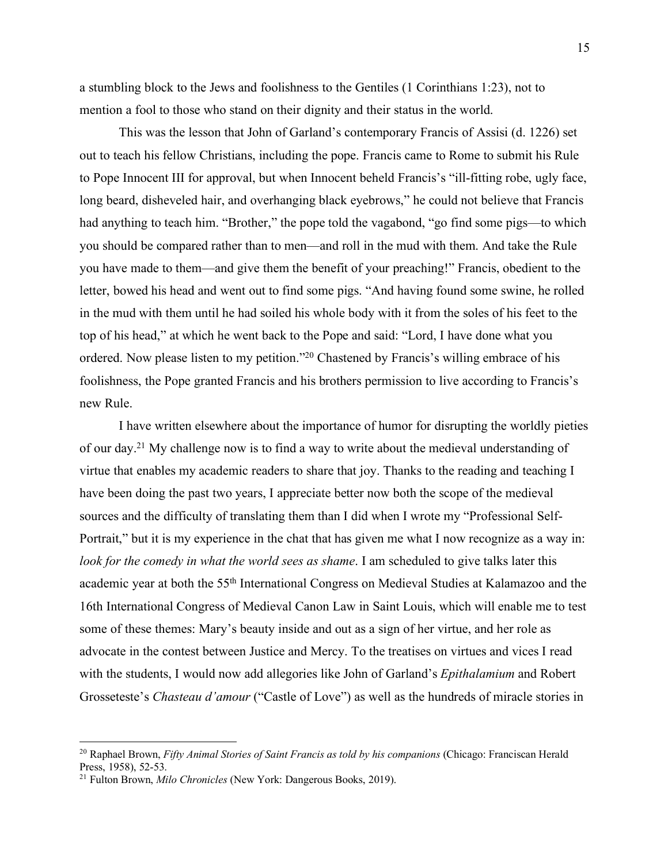a stumbling block to the Jews and foolishness to the Gentiles (1 Corinthians 1:23), not to mention a fool to those who stand on their dignity and their status in the world.

This was the lesson that John of Garland's contemporary Francis of Assisi (d. 1226) set out to teach his fellow Christians, including the pope. Francis came to Rome to submit his Rule to Pope Innocent III for approval, but when Innocent beheld Francis's "ill-fitting robe, ugly face, long beard, disheveled hair, and overhanging black eyebrows," he could not believe that Francis had anything to teach him. "Brother," the pope told the vagabond, "go find some pigs—to which you should be compared rather than to men—and roll in the mud with them. And take the Rule you have made to them—and give them the benefit of your preaching!" Francis, obedient to the letter, bowed his head and went out to find some pigs. "And having found some swine, he rolled in the mud with them until he had soiled his whole body with it from the soles of his feet to the top of his head," at which he went back to the Pope and said: "Lord, I have done what you ordered. Now please listen to my petition."20 Chastened by Francis's willing embrace of his foolishness, the Pope granted Francis and his brothers permission to live according to Francis's new Rule.

I have written elsewhere about the importance of humor for disrupting the worldly pieties of our day.21 My challenge now is to find a way to write about the medieval understanding of virtue that enables my academic readers to share that joy. Thanks to the reading and teaching I have been doing the past two years, I appreciate better now both the scope of the medieval sources and the difficulty of translating them than I did when I wrote my "Professional Self-Portrait," but it is my experience in the chat that has given me what I now recognize as a way in: *look for the comedy in what the world sees as shame*. I am scheduled to give talks later this academic year at both the 55th International Congress on Medieval Studies at Kalamazoo and the 16th International Congress of Medieval Canon Law in Saint Louis, which will enable me to test some of these themes: Mary's beauty inside and out as a sign of her virtue, and her role as advocate in the contest between Justice and Mercy. To the treatises on virtues and vices I read with the students, I would now add allegories like John of Garland's *Epithalamium* and Robert Grosseteste's *Chasteau d'amour* ("Castle of Love") as well as the hundreds of miracle stories in

 <sup>20</sup> Raphael Brown, *Fifty Animal Stories of Saint Francis as told by his companions* (Chicago: Franciscan Herald Press, 1958), 52-53.

<sup>21</sup> Fulton Brown, *Milo Chronicles* (New York: Dangerous Books, 2019).